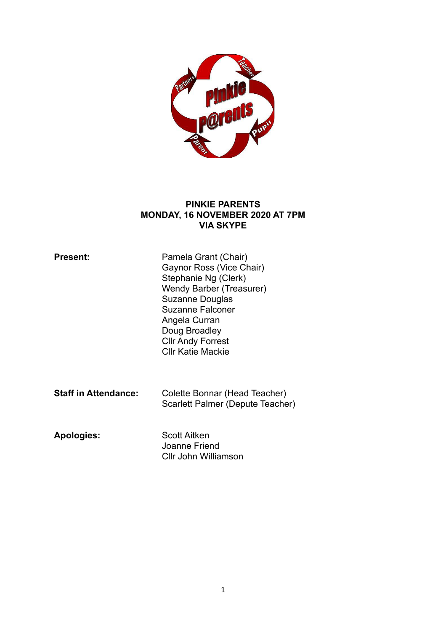

#### **PINKIE PARENTS MONDAY, 16 NOVEMBER 2020 AT 7PM VIA SKYPE**

| <b>Present:</b>             | Pamela Grant (Chair)<br>Gaynor Ross (Vice Chair)<br>Stephanie Ng (Clerk)<br><b>Wendy Barber (Treasurer)</b><br>Suzanne Douglas<br>Suzanne Falconer<br>Angela Curran<br>Doug Broadley<br><b>Cllr Andy Forrest</b><br><b>CIIr Katie Mackie</b> |
|-----------------------------|----------------------------------------------------------------------------------------------------------------------------------------------------------------------------------------------------------------------------------------------|
| <b>Staff in Attendance:</b> | Colette Bonnar (Head Teacher)<br>Scarlett Palmer (Depute Teacher)                                                                                                                                                                            |

Apologies: Scott Aitken Joanne Friend Cllr John Williamson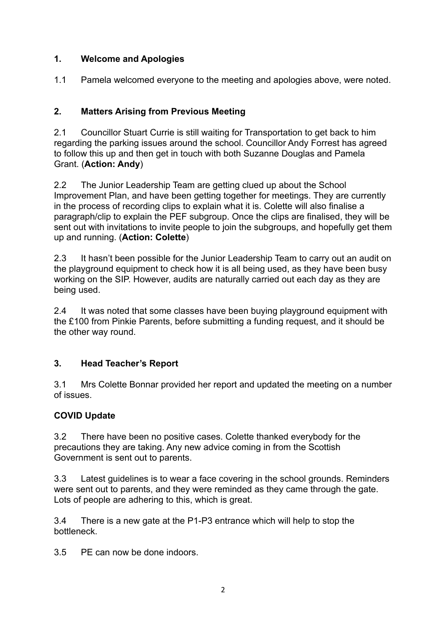# **1. Welcome and Apologies**

1.1 Pamela welcomed everyone to the meeting and apologies above, were noted.

# **2. Matters Arising from Previous Meeting**

2.1 Councillor Stuart Currie is still waiting for Transportation to get back to him regarding the parking issues around the school. Councillor Andy Forrest has agreed to follow this up and then get in touch with both Suzanne Douglas and Pamela Grant. (**Action: Andy**)

2.2 The Junior Leadership Team are getting clued up about the School Improvement Plan, and have been getting together for meetings. They are currently in the process of recording clips to explain what it is. Colette will also finalise a paragraph/clip to explain the PEF subgroup. Once the clips are finalised, they will be sent out with invitations to invite people to join the subgroups, and hopefully get them up and running. (**Action: Colette**)

2.3 It hasn't been possible for the Junior Leadership Team to carry out an audit on the playground equipment to check how it is all being used, as they have been busy working on the SIP. However, audits are naturally carried out each day as they are being used.

2.4 It was noted that some classes have been buying playground equipment with the £100 from Pinkie Parents, before submitting a funding request, and it should be the other way round.

# **3. Head Teacher's Report**

3.1 Mrs Colette Bonnar provided her report and updated the meeting on a number of issues.

# **COVID Update**

3.2 There have been no positive cases. Colette thanked everybody for the precautions they are taking. Any new advice coming in from the Scottish Government is sent out to parents.

3.3 Latest guidelines is to wear a face covering in the school grounds. Reminders were sent out to parents, and they were reminded as they came through the gate. Lots of people are adhering to this, which is great.

3.4 There is a new gate at the P1-P3 entrance which will help to stop the bottleneck.

3.5 PE can now be done indoors.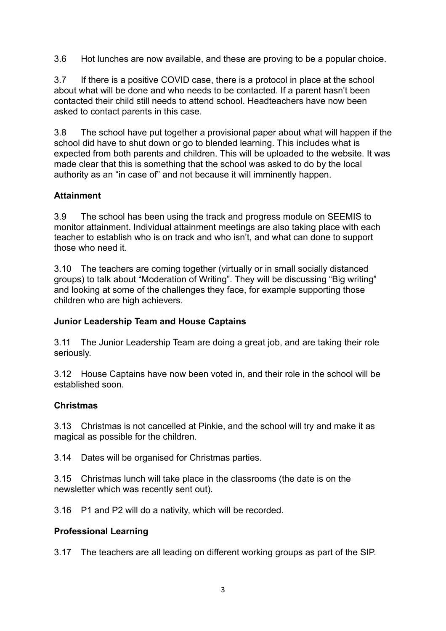3.6 Hot lunches are now available, and these are proving to be a popular choice.

3.7 If there is a positive COVID case, there is a protocol in place at the school about what will be done and who needs to be contacted. If a parent hasn't been contacted their child still needs to attend school. Headteachers have now been asked to contact parents in this case.

3.8 The school have put together a provisional paper about what will happen if the school did have to shut down or go to blended learning. This includes what is expected from both parents and children. This will be uploaded to the website. It was made clear that this is something that the school was asked to do by the local authority as an "in case of" and not because it will imminently happen.

## **Attainment**

3.9 The school has been using the track and progress module on SEEMIS to monitor attainment. Individual attainment meetings are also taking place with each teacher to establish who is on track and who isn't, and what can done to support those who need it.

3.10 The teachers are coming together (virtually or in small socially distanced groups) to talk about "Moderation of Writing". They will be discussing "Big writing" and looking at some of the challenges they face, for example supporting those children who are high achievers.

### **Junior Leadership Team and House Captains**

3.11 The Junior Leadership Team are doing a great job, and are taking their role seriously.

3.12 House Captains have now been voted in, and their role in the school will be established soon.

#### **Christmas**

3.13 Christmas is not cancelled at Pinkie, and the school will try and make it as magical as possible for the children.

3.14 Dates will be organised for Christmas parties.

3.15 Christmas lunch will take place in the classrooms (the date is on the newsletter which was recently sent out).

3.16 P1 and P2 will do a nativity, which will be recorded.

#### **Professional Learning**

3.17 The teachers are all leading on different working groups as part of the SIP.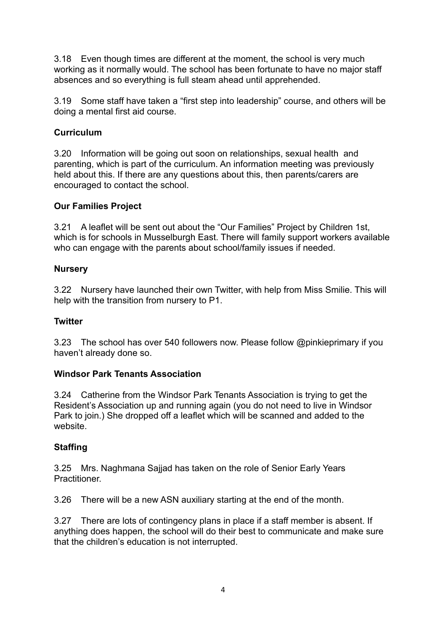3.18 Even though times are different at the moment, the school is very much working as it normally would. The school has been fortunate to have no major staff absences and so everything is full steam ahead until apprehended.

3.19 Some staff have taken a "first step into leadership" course, and others will be doing a mental first aid course.

## **Curriculum**

3.20 Information will be going out soon on relationships, sexual health and parenting, which is part of the curriculum. An information meeting was previously held about this. If there are any questions about this, then parents/carers are encouraged to contact the school.

#### **Our Families Project**

3.21 A leaflet will be sent out about the "Our Families" Project by Children 1st, which is for schools in Musselburgh East. There will family support workers available who can engage with the parents about school/family issues if needed.

#### **Nursery**

3.22 Nursery have launched their own Twitter, with help from Miss Smilie. This will help with the transition from nursery to P1.

#### **Twitter**

3.23 The school has over 540 followers now. Please follow @pinkieprimary if you haven't already done so.

#### **Windsor Park Tenants Association**

3.24 Catherine from the Windsor Park Tenants Association is trying to get the Resident's Association up and running again (you do not need to live in Windsor Park to join.) She dropped off a leaflet which will be scanned and added to the website.

#### **Staffing**

3.25 Mrs. Naghmana Sajjad has taken on the role of Senior Early Years Practitioner.

3.26 There will be a new ASN auxiliary starting at the end of the month.

3.27 There are lots of contingency plans in place if a staff member is absent. If anything does happen, the school will do their best to communicate and make sure that the children's education is not interrupted.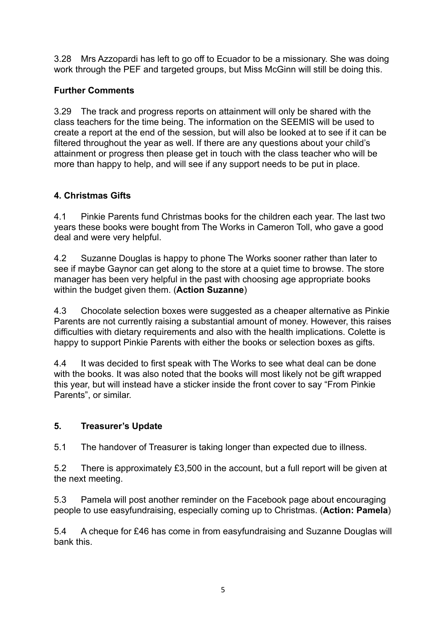3.28 Mrs Azzopardi has left to go off to Ecuador to be a missionary. She was doing work through the PEF and targeted groups, but Miss McGinn will still be doing this.

# **Further Comments**

3.29 The track and progress reports on attainment will only be shared with the class teachers for the time being. The information on the SEEMIS will be used to create a report at the end of the session, but will also be looked at to see if it can be filtered throughout the year as well. If there are any questions about your child's attainment or progress then please get in touch with the class teacher who will be more than happy to help, and will see if any support needs to be put in place.

## **4. Christmas Gifts**

4.1 Pinkie Parents fund Christmas books for the children each year. The last two years these books were bought from The Works in Cameron Toll, who gave a good deal and were very helpful.

4.2 Suzanne Douglas is happy to phone The Works sooner rather than later to see if maybe Gaynor can get along to the store at a quiet time to browse. The store manager has been very helpful in the past with choosing age appropriate books within the budget given them. (**Action Suzanne**)

4.3 Chocolate selection boxes were suggested as a cheaper alternative as Pinkie Parents are not currently raising a substantial amount of money. However, this raises difficulties with dietary requirements and also with the health implications. Colette is happy to support Pinkie Parents with either the books or selection boxes as gifts.

4.4 It was decided to first speak with The Works to see what deal can be done with the books. It was also noted that the books will most likely not be gift wrapped this year, but will instead have a sticker inside the front cover to say "From Pinkie Parents", or similar.

# **5. Treasurer's Update**

5.1 The handover of Treasurer is taking longer than expected due to illness.

5.2 There is approximately £3,500 in the account, but a full report will be given at the next meeting.

5.3 Pamela will post another reminder on the Facebook page about encouraging people to use easyfundraising, especially coming up to Christmas. (**Action: Pamela**)

5.4 A cheque for £46 has come in from easyfundraising and Suzanne Douglas will bank this.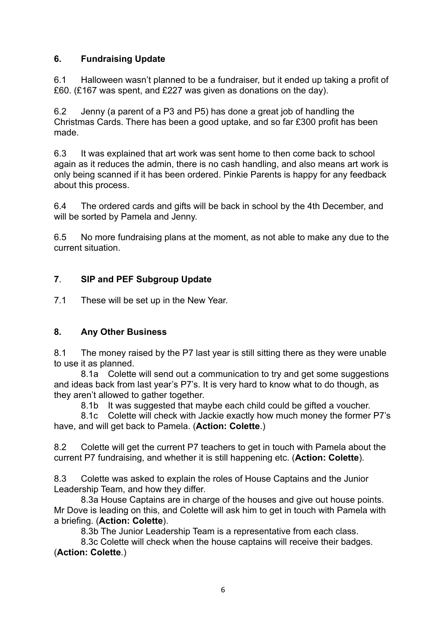## **6. Fundraising Update**

6.1 Halloween wasn't planned to be a fundraiser, but it ended up taking a profit of £60. (£167 was spent, and £227 was given as donations on the day).

6.2 Jenny (a parent of a P3 and P5) has done a great job of handling the Christmas Cards. There has been a good uptake, and so far £300 profit has been made.

6.3 It was explained that art work was sent home to then come back to school again as it reduces the admin, there is no cash handling, and also means art work is only being scanned if it has been ordered. Pinkie Parents is happy for any feedback about this process.

6.4 The ordered cards and gifts will be back in school by the 4th December, and will be sorted by Pamela and Jenny.

6.5 No more fundraising plans at the moment, as not able to make any due to the current situation.

## **7**. **SIP and PEF Subgroup Update**

7.1 These will be set up in the New Year.

#### **8. Any Other Business**

8.1 The money raised by the P7 last year is still sitting there as they were unable to use it as planned.

 8.1a Colette will send out a communication to try and get some suggestions and ideas back from last year's P7's. It is very hard to know what to do though, as they aren't allowed to gather together.

8.1b It was suggested that maybe each child could be gifted a voucher.

 8.1c Colette will check with Jackie exactly how much money the former P7's have, and will get back to Pamela. (**Action: Colette**.)

8.2 Colette will get the current P7 teachers to get in touch with Pamela about the current P7 fundraising, and whether it is still happening etc. (**Action: Colette**).

8.3 Colette was asked to explain the roles of House Captains and the Junior Leadership Team, and how they differ.

 8.3a House Captains are in charge of the houses and give out house points. Mr Dove is leading on this, and Colette will ask him to get in touch with Pamela with a briefing. (**Action: Colette**).

8.3b The Junior Leadership Team is a representative from each class.

 8.3c Colette will check when the house captains will receive their badges. (**Action: Colette**.)